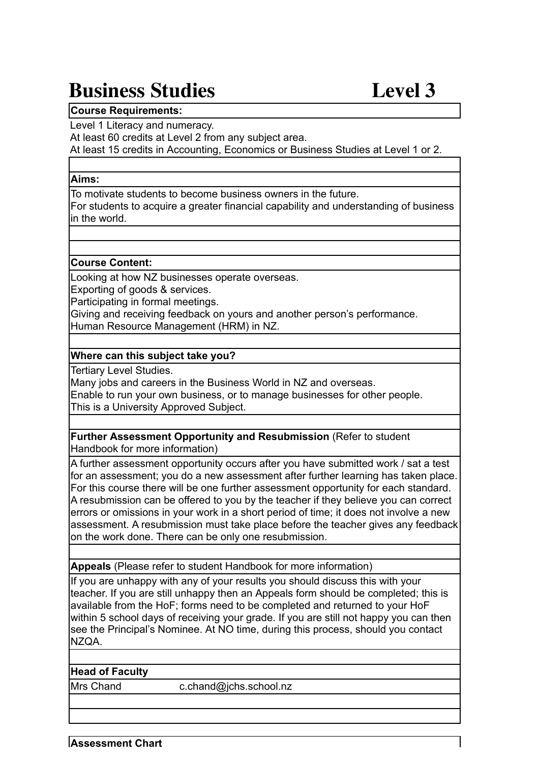# **Business Studies Level 3**

## **Course Requirements:**

Level 1 Literacy and numeracy.

At least 60 credits at Level 2 from any subject area.

At least 15 credits in Accounting, Economics or Business Studies at Level 1 or 2.

#### **Aims:**

To motivate students to become business owners in the future.

For students to acquire a greater financial capability and understanding of business in the world.

#### **Course Content:**

Looking at how NZ businesses operate overseas.

Exporting of goods & services.

Participating in formal meetings.

Giving and receiving feedback on yours and another person's performance. Human Resource Management (HRM) in NZ.

## **Where can this subject take you?**

Tertiary Level Studies.

Many jobs and careers in the Business World in NZ and overseas.

Enable to run your own business, or to manage businesses for other people. This is a University Approved Subject.

**Further Assessment Opportunity and Resubmission** (Refer to student Handbook for more information)

A further assessment opportunity occurs after you have submitted work / sat a test for an assessment; you do a new assessment after further learning has taken place. For this course there will be one further assessment opportunity for each standard. A resubmission can be offered to you by the teacher if they believe you can correct errors or omissions in your work in a short period of time; it does not involve a new assessment. A resubmission must take place before the teacher gives any feedback on the work done. There can be only one resubmission.

**Appeals** (Please refer to student Handbook for more information)

If you are unhappy with any of your results you should discuss this with your teacher. If you are still unhappy then an Appeals form should be completed; this is available from the HoF; forms need to be completed and returned to your HoF within 5 school days of receiving your grade. If you are still not happy you can then see the Principal's Nominee. At NO time, during this process, should you contact NZQA.

#### **Head of Faculty**

Mrs Chand c.chand@jchs.school.nz

**Assessment Chart**